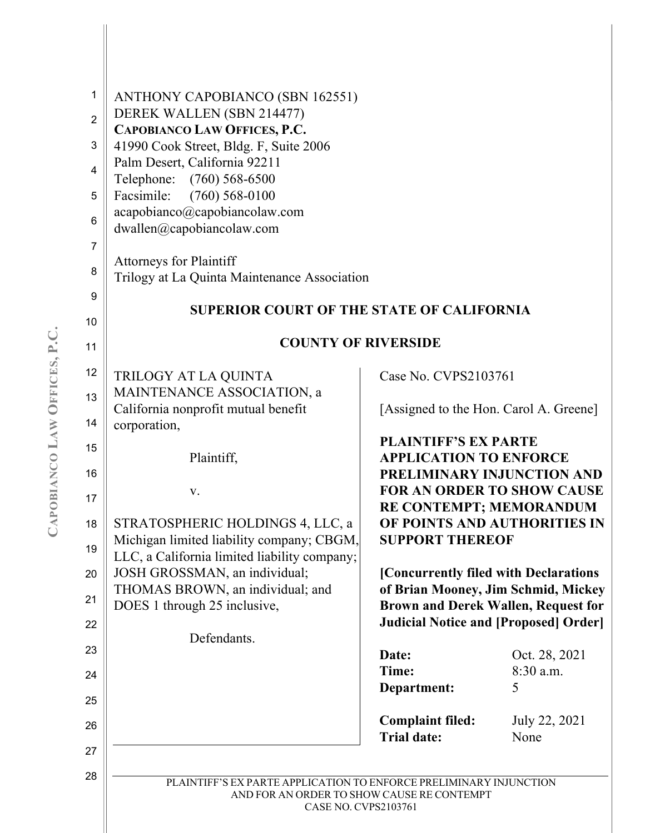| $\mathbf{1}$            | ANTHONY CAPOBIANCO (SBN 162551)                                               |                                                                              |                            |
|-------------------------|-------------------------------------------------------------------------------|------------------------------------------------------------------------------|----------------------------|
| $\overline{2}$          | DEREK WALLEN (SBN 214477)                                                     |                                                                              |                            |
| $\mathbf{3}$            | CAPOBIANCO LAW OFFICES, P.C.<br>41990 Cook Street, Bldg. F, Suite 2006        |                                                                              |                            |
| $\overline{\mathbf{4}}$ | Palm Desert, California 92211<br>Telephone: (760) 568-6500                    |                                                                              |                            |
| 5                       | Facsimile:<br>$(760)$ 568-0100                                                |                                                                              |                            |
| $\,6$                   | acapobianco@capobiancolaw.com<br>dwallen@capobiancolaw.com                    |                                                                              |                            |
| $\overline{7}$          | <b>Attorneys for Plaintiff</b>                                                |                                                                              |                            |
| $\bf 8$                 | Trilogy at La Quinta Maintenance Association                                  |                                                                              |                            |
| 9                       | <b>SUPERIOR COURT OF THE STATE OF CALIFORNIA</b>                              |                                                                              |                            |
| 10<br>11                | <b>COUNTY OF RIVERSIDE</b>                                                    |                                                                              |                            |
| 12                      |                                                                               | Case No. CVPS2103761                                                         |                            |
| 13                      | TRILOGY AT LA QUINTA<br>MAINTENANCE ASSOCIATION, a                            |                                                                              |                            |
| 14                      | California nonprofit mutual benefit<br>corporation,                           | [Assigned to the Hon. Carol A. Greene]                                       |                            |
| 15                      | Plaintiff,                                                                    | <b>PLAINTIFF'S EX PARTE</b><br><b>APPLICATION TO ENFORCE</b>                 |                            |
| 16                      |                                                                               | PRELIMINARY INJUNCTION AND                                                   |                            |
| 17                      | V.                                                                            | <b>FOR AN ORDER TO SHOW CAUSE</b><br>RE CONTEMPT; MEMORANDUM                 |                            |
| 18                      | STRATOSPHERIC HOLDINGS 4, LLC, a<br>Michigan limited liability company; CBGM, | OF POINTS AND AUTHORITIES IN<br><b>SUPPORT THEREOF</b>                       |                            |
| 19                      | LLC, a California limited liability company;                                  |                                                                              |                            |
| 20                      | JOSH GROSSMAN, an individual;<br>THOMAS BROWN, an individual; and             | [Concurrently filed with Declarations<br>of Brian Mooney, Jim Schmid, Mickey |                            |
| 21                      | DOES 1 through 25 inclusive,                                                  | <b>Brown and Derek Wallen, Request for</b>                                   |                            |
| 22                      | Defendants.                                                                   | <b>Judicial Notice and [Proposed] Order]</b>                                 |                            |
| 23                      |                                                                               | Date:<br>Time:                                                               | Oct. 28, 2021<br>8:30 a.m. |
| 24<br>25                |                                                                               | Department:                                                                  | 5                          |
| 26                      |                                                                               | <b>Complaint filed:</b>                                                      | July 22, 2021              |
| 27                      |                                                                               | <b>Trial date:</b>                                                           | None                       |
| 28                      | PLAINTIFF'S EX PARTE APPLICATION TO ENFORCE PRELIMINARY INJUNCTION            |                                                                              |                            |
|                         | AND FOR AN ORDER TO SHOW CAUSE RE CONTEMPT<br><b>CASE NO. CVPS2103761</b>     |                                                                              |                            |
|                         |                                                                               |                                                                              |                            |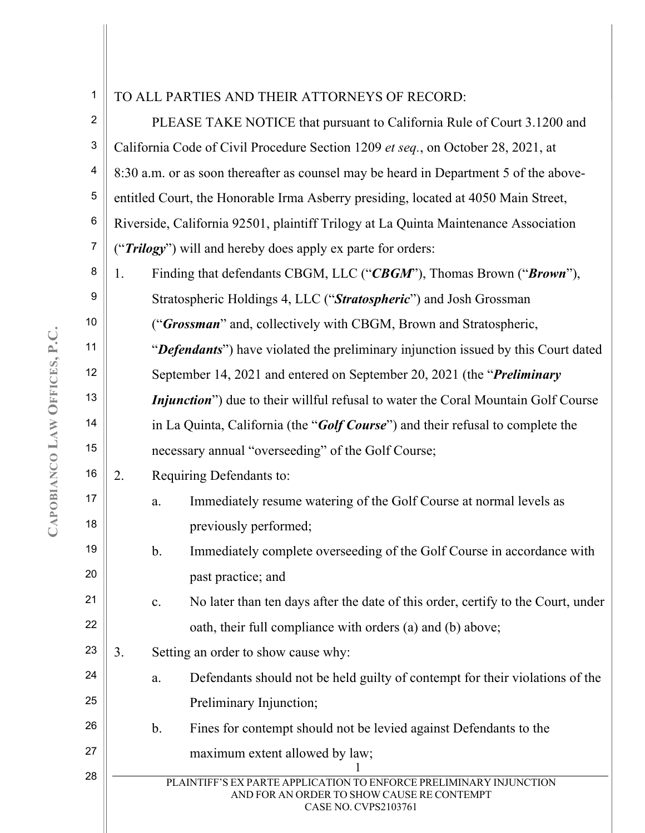#### PLAINTIFF'S EX PARTE APPLICATION TO ENFORCE PRELIMINARY INJUNCTION AND FOR AN ORDER TO SHOW CAUSE RE CONTEMPT CASE NO. CVPS2103761 1 1 2 3 4 5 6 7 8 9 10 11 12 13 14 15 16 17 18 19 20 21 22 23 24 25 26 27 28 TO ALL PARTIES AND THEIR ATTORNEYS OF RECORD: PLEASE TAKE NOTICE that pursuant to California Rule of Court 3.1200 and California Code of Civil Procedure Section 1209 *et seq.*, on October 28, 2021, at 8:30 a.m. or as soon thereafter as counsel may be heard in Department 5 of the aboveentitled Court, the Honorable Irma Asberry presiding, located at 4050 Main Street, Riverside, California 92501, plaintiff Trilogy at La Quinta Maintenance Association ("*Trilogy*") will and hereby does apply ex parte for orders: 1. Finding that defendants CBGM, LLC ("*CBGM*"), Thomas Brown ("*Brown*"), Stratospheric Holdings 4, LLC ("*Stratospheric*") and Josh Grossman ("*Grossman*" and, collectively with CBGM, Brown and Stratospheric, "*Defendants*") have violated the preliminary injunction issued by this Court dated September 14, 2021 and entered on September 20, 2021 (the "*Preliminary Injunction*") due to their willful refusal to water the Coral Mountain Golf Course in La Quinta, California (the "*Golf Course*") and their refusal to complete the necessary annual "overseeding" of the Golf Course; 2. Requiring Defendants to: a. Immediately resume watering of the Golf Course at normal levels as previously performed; b. Immediately complete overseeding of the Golf Course in accordance with past practice; and c. No later than ten days after the date of this order, certify to the Court, under oath, their full compliance with orders (a) and (b) above; 3. Setting an order to show cause why: a. Defendants should not be held guilty of contempt for their violations of the Preliminary Injunction; b. Fines for contempt should not be levied against Defendants to the maximum extent allowed by law;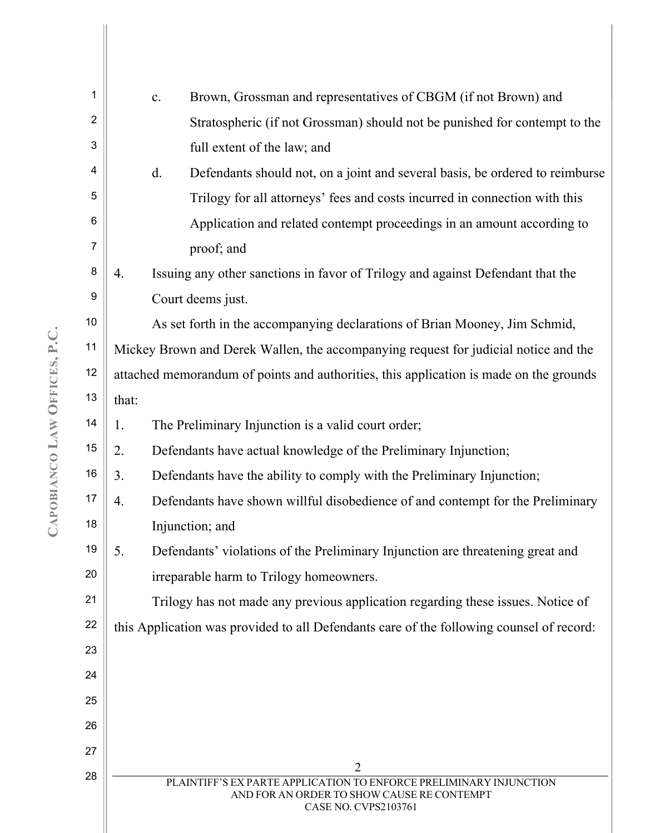| 1              |       | Brown, Grossman and representatives of CBGM (if not Brown) and<br>c.                                                                     |  |
|----------------|-------|------------------------------------------------------------------------------------------------------------------------------------------|--|
| $\overline{2}$ |       | Stratospheric (if not Grossman) should not be punished for contempt to the                                                               |  |
| 3              |       | full extent of the law; and                                                                                                              |  |
| 4              |       | Defendants should not, on a joint and several basis, be ordered to reimburse<br>d.                                                       |  |
| 5              |       | Trilogy for all attorneys' fees and costs incurred in connection with this                                                               |  |
| 6              |       | Application and related contempt proceedings in an amount according to                                                                   |  |
| $\overline{7}$ |       | proof; and                                                                                                                               |  |
| 8              | 4.    | Issuing any other sanctions in favor of Trilogy and against Defendant that the                                                           |  |
| 9              |       | Court deems just.                                                                                                                        |  |
| 10             |       | As set forth in the accompanying declarations of Brian Mooney, Jim Schmid,                                                               |  |
| 11             |       | Mickey Brown and Derek Wallen, the accompanying request for judicial notice and the                                                      |  |
| 12             |       | attached memorandum of points and authorities, this application is made on the grounds                                                   |  |
| 13             | that: |                                                                                                                                          |  |
| 14             | 1.    | The Preliminary Injunction is a valid court order;                                                                                       |  |
| 15             | 2.    | Defendants have actual knowledge of the Preliminary Injunction;                                                                          |  |
| 16             | 3.    | Defendants have the ability to comply with the Preliminary Injunction;                                                                   |  |
| 17             | 4.    | Defendants have shown willful disobedience of and contempt for the Preliminary                                                           |  |
| 18             |       | Injunction; and                                                                                                                          |  |
| 19             | 5.    | Defendants' violations of the Preliminary Injunction are threatening great and                                                           |  |
| 20             |       | irreparable harm to Trilogy homeowners.                                                                                                  |  |
| 21             |       | Trilogy has not made any previous application regarding these issues. Notice of                                                          |  |
| 22             |       | this Application was provided to all Defendants care of the following counsel of record:                                                 |  |
| 23             |       |                                                                                                                                          |  |
| 24             |       |                                                                                                                                          |  |
| 25             |       |                                                                                                                                          |  |
| 26             |       |                                                                                                                                          |  |
| 27             |       | $\overline{2}$                                                                                                                           |  |
| 28             |       | PLAINTIFF'S EX PARTE APPLICATION TO ENFORCE PRELIMINARY INJUNCTION<br>AND FOR AN ORDER TO SHOW CAUSE RE CONTEMPT<br>CASE NO. CVPS2103761 |  |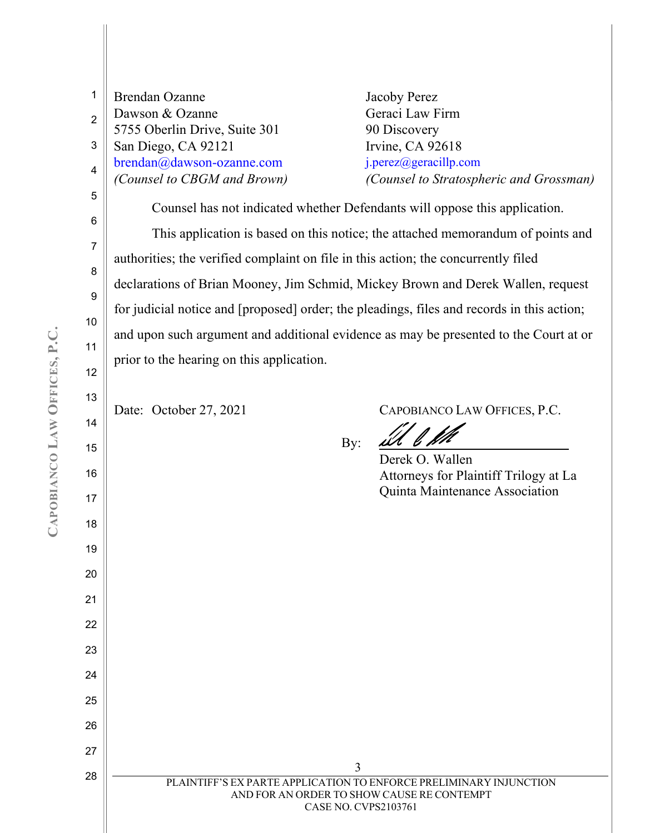|                | Brendan Ozanne                                   |  |
|----------------|--------------------------------------------------|--|
| $\overline{2}$ | Dawson & Ozanne<br>5755 Oberlin Drive, Suite 301 |  |
|                |                                                  |  |
| $\mathbf{3}$   | San Diego, CA 92121                              |  |
|                | brendan@dawson-ozanne.com                        |  |
|                | (Counsel to CBGM and Brown)                      |  |

Jacoby Perez Geraci Law Firm 90 Discovery Irvine, CA 92618 j.perez@geracillp.com *(Counsel to Stratospheric and Grossman)*

Counsel has not indicated whether Defendants will oppose this application. This application is based on this notice; the attached memorandum of points and authorities; the verified complaint on file in this action; the concurrently filed declarations of Brian Mooney, Jim Schmid, Mickey Brown and Derek Wallen, request for judicial notice and [proposed] order; the pleadings, files and records in this action; and upon such argument and additional evidence as may be presented to the Court at or prior to the hearing on this application.

Date: October 27, 2021 CAPOBIANCO LAW OFFICES, P.C.

By:

Derek O. Wallen Attorneys for Plaintiff Trilogy at La Quinta Maintenance Association

3

5

6

7

8

9

10

11

12

13

14

15

16

17

18

19

20

21

22

23

24

25

26

27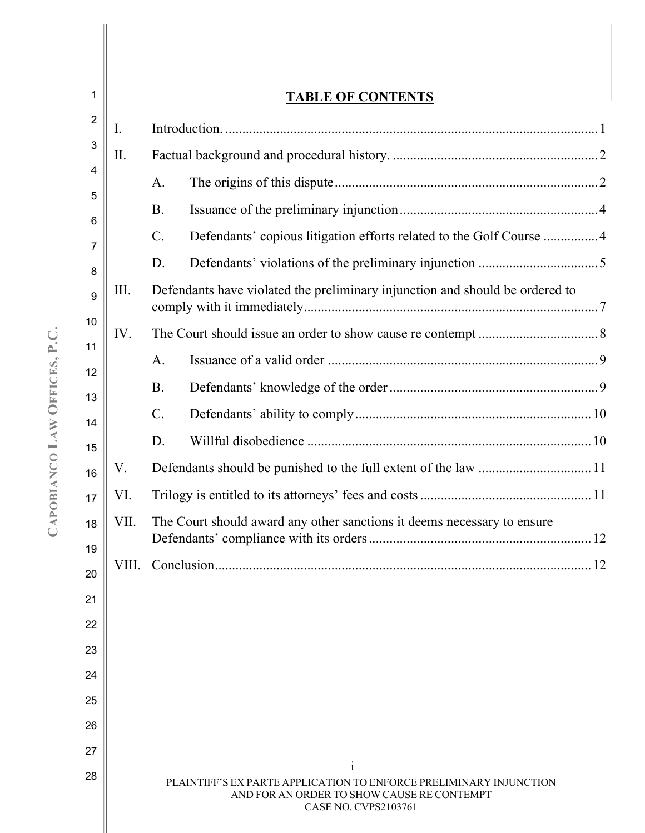| 1              | <b>TABLE OF CONTENTS</b> |                                                                                                                                          |  |
|----------------|--------------------------|------------------------------------------------------------------------------------------------------------------------------------------|--|
| $\overline{2}$ | Ι.                       |                                                                                                                                          |  |
| 3              | II.                      |                                                                                                                                          |  |
| 4<br>5         |                          | A.                                                                                                                                       |  |
| 6              |                          | <b>B.</b>                                                                                                                                |  |
| 7              |                          | Defendants' copious litigation efforts related to the Golf Course 4<br>$\mathcal{C}$ .                                                   |  |
| 8              |                          | D.                                                                                                                                       |  |
| 9              | III.                     | Defendants have violated the preliminary injunction and should be ordered to                                                             |  |
| 10             | IV.                      |                                                                                                                                          |  |
| 11             |                          | A.                                                                                                                                       |  |
| 12<br>13       |                          | <b>B.</b>                                                                                                                                |  |
| 14             |                          | $C$ .                                                                                                                                    |  |
| 15             |                          | D.                                                                                                                                       |  |
| 16             | V.                       |                                                                                                                                          |  |
| 17             | VI.                      | .11                                                                                                                                      |  |
| 18             | VII.                     | The Court should award any other sanctions it deems necessary to ensure                                                                  |  |
| 19             |                          |                                                                                                                                          |  |
| 20             | VIII.                    |                                                                                                                                          |  |
| 21             |                          |                                                                                                                                          |  |
| 22             |                          |                                                                                                                                          |  |
| 23             |                          |                                                                                                                                          |  |
| 24             |                          |                                                                                                                                          |  |
| 25             |                          |                                                                                                                                          |  |
| 26             |                          |                                                                                                                                          |  |
| 27             |                          | $\mathbf{i}$                                                                                                                             |  |
| 28             |                          | PLAINTIFF'S EX PARTE APPLICATION TO ENFORCE PRELIMINARY INJUNCTION<br>AND FOR AN ORDER TO SHOW CAUSE RE CONTEMPT<br>CASE NO. CVPS2103761 |  |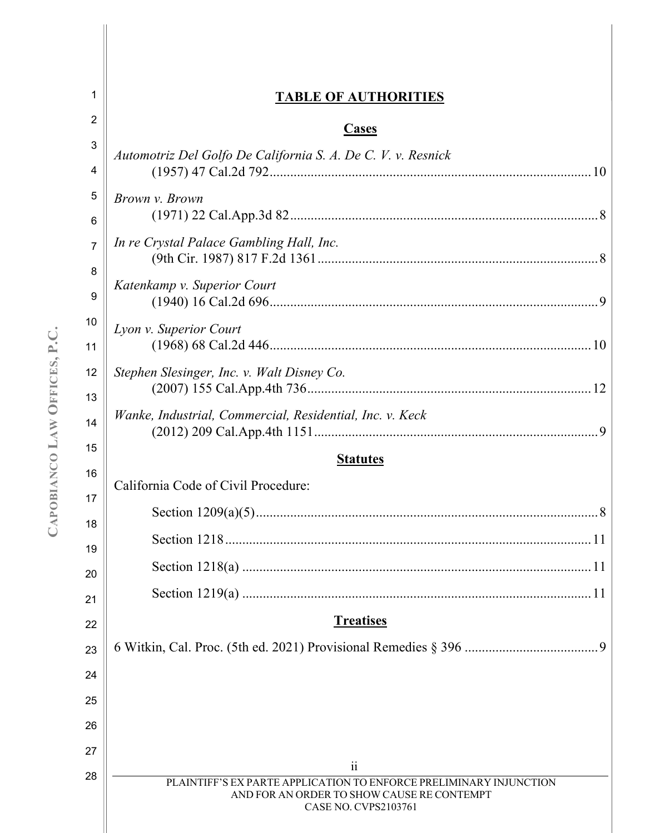| 1              | <b>TABLE OF AUTHORITIES</b>                                                          |
|----------------|--------------------------------------------------------------------------------------|
| $\overline{2}$ | <b>Cases</b>                                                                         |
| 3              | Automotriz Del Golfo De California S. A. De C. V. v. Resnick                         |
| 4              |                                                                                      |
| 5<br>6         | Brown v. Brown                                                                       |
| 7              | In re Crystal Palace Gambling Hall, Inc.                                             |
| 8<br>9         | Katenkamp v. Superior Court                                                          |
| 10             | Lyon v. Superior Court                                                               |
| 11             |                                                                                      |
| 12             | Stephen Slesinger, Inc. v. Walt Disney Co.                                           |
| 13             | Wanke, Industrial, Commercial, Residential, Inc. v. Keck                             |
| 14             |                                                                                      |
| 15             | <b>Statutes</b>                                                                      |
| 16             | California Code of Civil Procedure:                                                  |
| 17<br>18       |                                                                                      |
| 19             |                                                                                      |
| 20             |                                                                                      |
| 21             |                                                                                      |
| 22             | <b>Treatises</b>                                                                     |
| 23             |                                                                                      |
| 24             |                                                                                      |
| 25             |                                                                                      |
| 26             |                                                                                      |
| 27             |                                                                                      |
| 28             | $\ddot{\rm n}$<br>PLAINTIFF'S EX PARTE APPLICATION TO ENFORCE PRELIMINARY INJUNCTION |
|                | AND FOR AN ORDER TO SHOW CAUSE RE CONTEMPT<br>CASE NO. CVPS2103761                   |

**CAPOBIANCO**  CAPOBIANCO LAW OFFICES, P.C. **OFFICES, P.C.**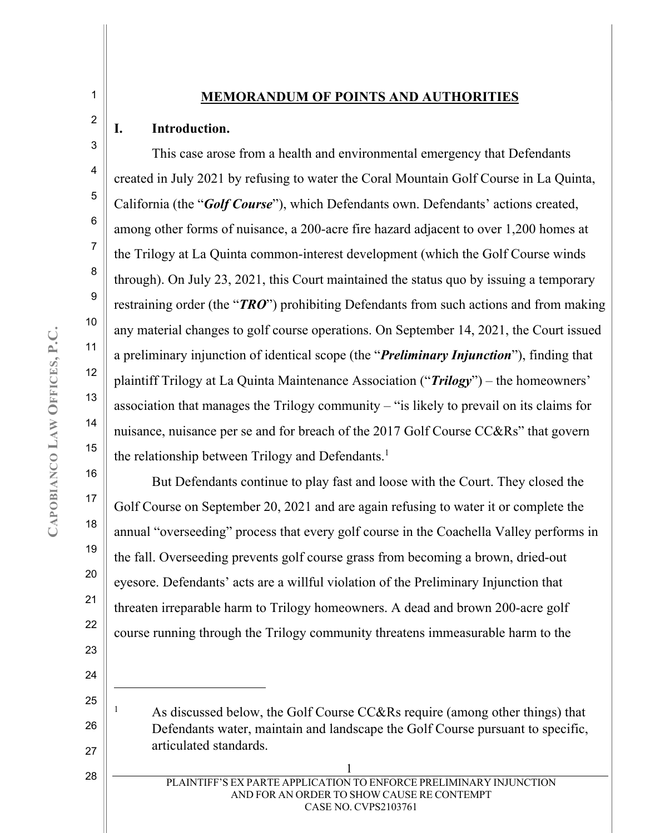#### **MEMORANDUM OF POINTS AND AUTHORITIES**

## **I. Introduction.**

1

2

3

4

5

6

7

8

9

10

11

12

13

14

15

16

This case arose from a health and environmental emergency that Defendants created in July 2021 by refusing to water the Coral Mountain Golf Course in La Quinta, California (the "*Golf Course*"), which Defendants own. Defendants' actions created, among other forms of nuisance, a 200-acre fire hazard adjacent to over 1,200 homes at the Trilogy at La Quinta common-interest development (which the Golf Course winds through). On July 23, 2021, this Court maintained the status quo by issuing a temporary restraining order (the "*TRO*") prohibiting Defendants from such actions and from making any material changes to golf course operations. On September 14, 2021, the Court issued a preliminary injunction of identical scope (the "*Preliminary Injunction*"), finding that plaintiff Trilogy at La Quinta Maintenance Association ("*Trilogy*") – the homeowners' association that manages the Trilogy community – "is likely to prevail on its claims for nuisance, nuisance per se and for breach of the 2017 Golf Course CC&Rs" that govern the relationship between Trilogy and Defendants.<sup>1</sup>

But Defendants continue to play fast and loose with the Court. They closed the Golf Course on September 20, 2021 and are again refusing to water it or complete the annual "overseeding" process that every golf course in the Coachella Valley performs in the fall. Overseeding prevents golf course grass from becoming a brown, dried-out eyesore. Defendants' acts are a willful violation of the Preliminary Injunction that threaten irreparable harm to Trilogy homeowners. A dead and brown 200-acre golf course running through the Trilogy community threatens immeasurable harm to the

- 24
- <sup>1</sup> As discussed below, the Golf Course CC&Rs require (among other things) that Defendants water, maintain and landscape the Golf Course pursuant to specific, articulated standards.
	- PLAINTIFF'S EX PARTE APPLICATION TO ENFORCE PRELIMINARY INJUNCTION AND FOR AN ORDER TO SHOW CAUSE RE CONTEMPT CASE NO. CVPS2103761 1
- 17 18 19 20 21
- 23

25

26

27

28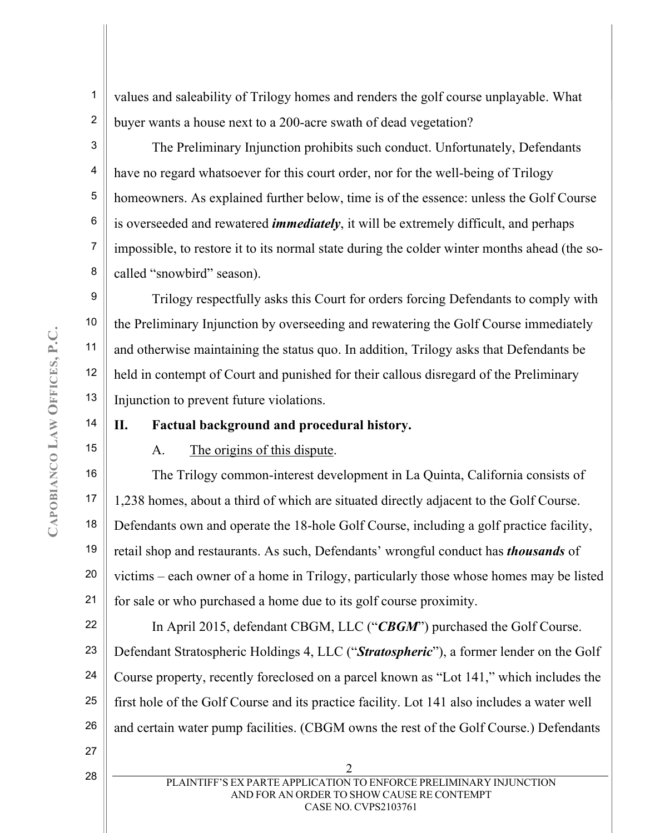**CAPOBIANCO**  CAPOBIANCO LAW OFFICES, P.C. **OFFICES, P.C.**

14

15

1 2 values and saleability of Trilogy homes and renders the golf course unplayable. What buyer wants a house next to a 200-acre swath of dead vegetation?

3 4 5 6 7 8 The Preliminary Injunction prohibits such conduct. Unfortunately, Defendants have no regard whatsoever for this court order, nor for the well-being of Trilogy homeowners. As explained further below, time is of the essence: unless the Golf Course is overseeded and rewatered *immediately*, it will be extremely difficult, and perhaps impossible, to restore it to its normal state during the colder winter months ahead (the socalled "snowbird" season).

9 10 11 12 13 Trilogy respectfully asks this Court for orders forcing Defendants to comply with the Preliminary Injunction by overseeding and rewatering the Golf Course immediately and otherwise maintaining the status quo. In addition, Trilogy asks that Defendants be held in contempt of Court and punished for their callous disregard of the Preliminary Injunction to prevent future violations.

## **II. Factual background and procedural history.**

## A. The origins of this dispute.

16 17 18 19 20 21 The Trilogy common-interest development in La Quinta, California consists of 1,238 homes, about a third of which are situated directly adjacent to the Golf Course. Defendants own and operate the 18-hole Golf Course, including a golf practice facility, retail shop and restaurants. As such, Defendants' wrongful conduct has *thousands* of victims – each owner of a home in Trilogy, particularly those whose homes may be listed for sale or who purchased a home due to its golf course proximity.

22 23 24 25 26 27 In April 2015, defendant CBGM, LLC ("*CBGM*") purchased the Golf Course. Defendant Stratospheric Holdings 4, LLC ("*Stratospheric*"), a former lender on the Golf Course property, recently foreclosed on a parcel known as "Lot 141," which includes the first hole of the Golf Course and its practice facility. Lot 141 also includes a water well and certain water pump facilities. (CBGM owns the rest of the Golf Course.) Defendants

2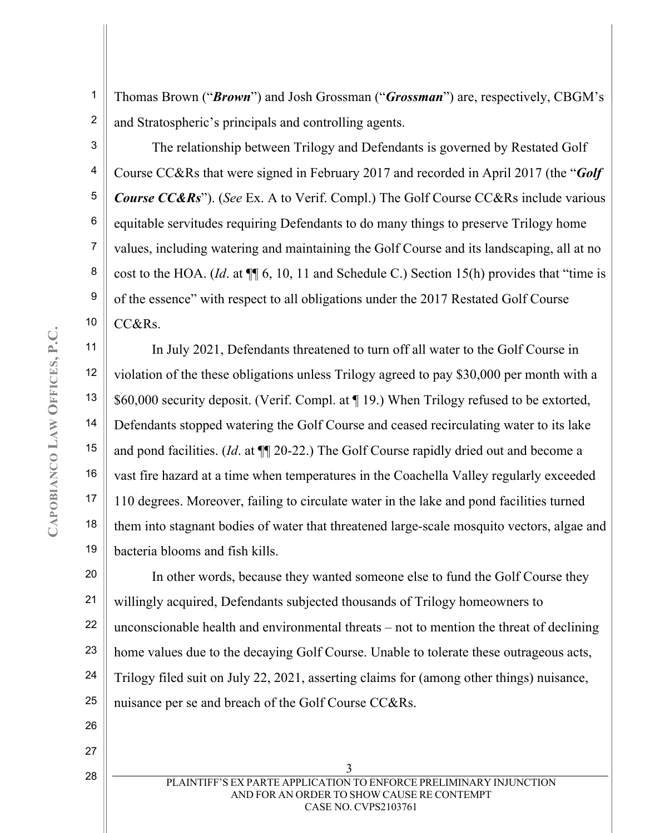1 2 Thomas Brown ("*Brown*") and Josh Grossman ("*Grossman*") are, respectively, CBGM's and Stratospheric's principals and controlling agents.

3 4 5 6 7 8 9 10 The relationship between Trilogy and Defendants is governed by Restated Golf Course CC&Rs that were signed in February 2017 and recorded in April 2017 (the "*Golf Course CC&Rs*"). (*See* Ex. A to Verif. Compl.) The Golf Course CC&Rs include various equitable servitudes requiring Defendants to do many things to preserve Trilogy home values, including watering and maintaining the Golf Course and its landscaping, all at no cost to the HOA. (*Id*. at ¶¶ 6, 10, 11 and Schedule C.) Section 15(h) provides that "time is of the essence" with respect to all obligations under the 2017 Restated Golf Course CC&Rs.

11 12 13 14 15 16 17 18 19 In July 2021, Defendants threatened to turn off all water to the Golf Course in violation of the these obligations unless Trilogy agreed to pay \$30,000 per month with a \$60,000 security deposit. (Verif. Compl. at ¶ 19.) When Trilogy refused to be extorted, Defendants stopped watering the Golf Course and ceased recirculating water to its lake and pond facilities. (*Id*. at ¶¶ 20-22.) The Golf Course rapidly dried out and become a vast fire hazard at a time when temperatures in the Coachella Valley regularly exceeded 110 degrees. Moreover, failing to circulate water in the lake and pond facilities turned them into stagnant bodies of water that threatened large-scale mosquito vectors, algae and bacteria blooms and fish kills.

20 21 22 23 24 25 In other words, because they wanted someone else to fund the Golf Course they willingly acquired, Defendants subjected thousands of Trilogy homeowners to unconscionable health and environmental threats – not to mention the threat of declining home values due to the decaying Golf Course. Unable to tolerate these outrageous acts, Trilogy filed suit on July 22, 2021, asserting claims for (among other things) nuisance, nuisance per se and breach of the Golf Course CC&Rs.

26 27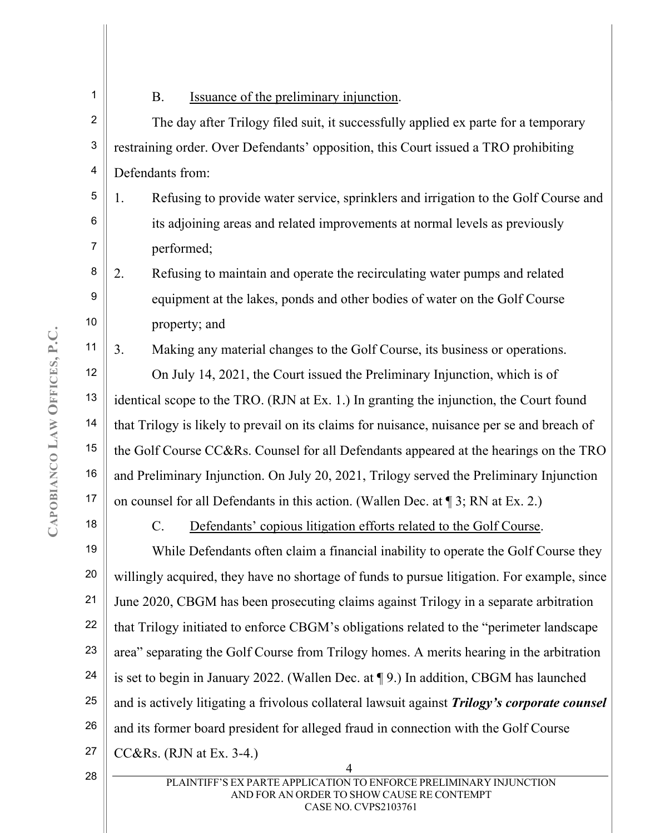1 2 3 4 5 6 7 8 9 10 11 12 13 14 15 16 17 18 B. Issuance of the preliminary injunction. The day after Trilogy filed suit, it successfully applied ex parte for a temporary restraining order. Over Defendants' opposition, this Court issued a TRO prohibiting Defendants from: 1. Refusing to provide water service, sprinklers and irrigation to the Golf Course and its adjoining areas and related improvements at normal levels as previously performed; 2. Refusing to maintain and operate the recirculating water pumps and related equipment at the lakes, ponds and other bodies of water on the Golf Course property; and 3. Making any material changes to the Golf Course, its business or operations. On July 14, 2021, the Court issued the Preliminary Injunction, which is of identical scope to the TRO. (RJN at Ex. 1.) In granting the injunction, the Court found that Trilogy is likely to prevail on its claims for nuisance, nuisance per se and breach of the Golf Course CC&Rs. Counsel for all Defendants appeared at the hearings on the TRO and Preliminary Injunction. On July 20, 2021, Trilogy served the Preliminary Injunction on counsel for all Defendants in this action. (Wallen Dec. at ¶ 3; RN at Ex. 2.) C. Defendants' copious litigation efforts related to the Golf Course. While Defendants often claim a financial inability to operate the Golf Course they

4 19 20 21 22 23 24 25 26 27 28 willingly acquired, they have no shortage of funds to pursue litigation. For example, since June 2020, CBGM has been prosecuting claims against Trilogy in a separate arbitration that Trilogy initiated to enforce CBGM's obligations related to the "perimeter landscape area" separating the Golf Course from Trilogy homes. A merits hearing in the arbitration is set to begin in January 2022. (Wallen Dec. at ¶ 9.) In addition, CBGM has launched and is actively litigating a frivolous collateral lawsuit against *Trilogy's corporate counsel* and its former board president for alleged fraud in connection with the Golf Course CC&Rs. (RJN at Ex. 3-4.)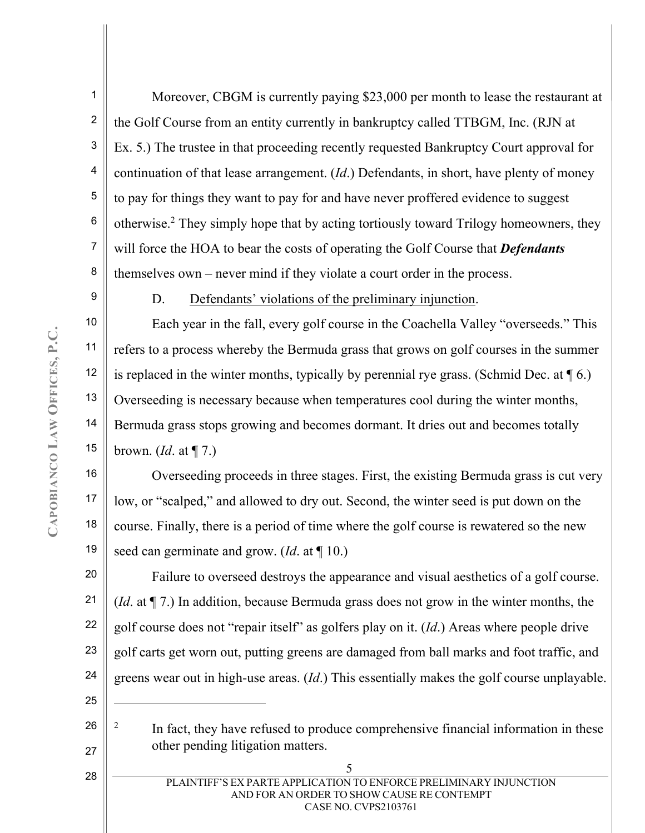1 2 3 4 5 6 Moreover, CBGM is currently paying \$23,000 per month to lease the restaurant at the Golf Course from an entity currently in bankruptcy called TTBGM, Inc. (RJN at Ex. 5.) The trustee in that proceeding recently requested Bankruptcy Court approval for continuation of that lease arrangement. (*Id*.) Defendants, in short, have plenty of money to pay for things they want to pay for and have never proffered evidence to suggest otherwise. <sup>2</sup> They simply hope that by acting tortiously toward Trilogy homeowners, they will force the HOA to bear the costs of operating the Golf Course that *Defendants* themselves own – never mind if they violate a court order in the process.

9

## D. Defendants' violations of the preliminary injunction.

Each year in the fall, every golf course in the Coachella Valley "overseeds." This refers to a process whereby the Bermuda grass that grows on golf courses in the summer is replaced in the winter months, typically by perennial rye grass. (Schmid Dec. at  $\P$  6.) Overseeding is necessary because when temperatures cool during the winter months, Bermuda grass stops growing and becomes dormant. It dries out and becomes totally brown. (*Id*. at ¶ 7.)

17 18 19 Overseeding proceeds in three stages. First, the existing Bermuda grass is cut very low, or "scalped," and allowed to dry out. Second, the winter seed is put down on the course. Finally, there is a period of time where the golf course is rewatered so the new seed can germinate and grow. (*Id*. at ¶ 10.)

20 21 22 23 24 Failure to overseed destroys the appearance and visual aesthetics of a golf course. (*Id*. at ¶ 7.) In addition, because Bermuda grass does not grow in the winter months, the golf course does not "repair itself" as golfers play on it. (*Id*.) Areas where people drive golf carts get worn out, putting greens are damaged from ball marks and foot traffic, and greens wear out in high-use areas. (*Id*.) This essentially makes the golf course unplayable.

25 26

27

<sup>&</sup>lt;sup>2</sup> In fact, they have refused to produce comprehensive financial information in these other pending litigation matters.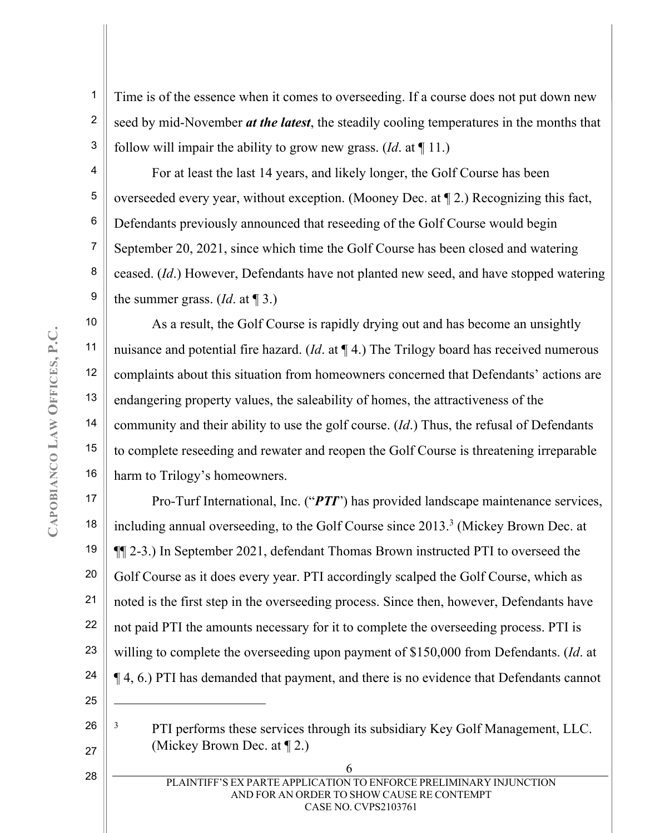1 2 3 Time is of the essence when it comes to overseeding. If a course does not put down new seed by mid-November *at the latest*, the steadily cooling temperatures in the months that follow will impair the ability to grow new grass. (*Id*. at ¶ 11.)

4 5 6 7 8 9 For at least the last 14 years, and likely longer, the Golf Course has been overseeded every year, without exception. (Mooney Dec. at ¶ 2.) Recognizing this fact, Defendants previously announced that reseeding of the Golf Course would begin September 20, 2021, since which time the Golf Course has been closed and watering ceased. (*Id*.) However, Defendants have not planted new seed, and have stopped watering the summer grass. (*Id*. at ¶ 3.)

10 11 12 13 14 15 16 As a result, the Golf Course is rapidly drying out and has become an unsightly nuisance and potential fire hazard. (*Id*. at ¶ 4.) The Trilogy board has received numerous complaints about this situation from homeowners concerned that Defendants' actions are endangering property values, the saleability of homes, the attractiveness of the community and their ability to use the golf course. (*Id*.) Thus, the refusal of Defendants to complete reseeding and rewater and reopen the Golf Course is threatening irreparable harm to Trilogy's homeowners.

17 18 19 20 21 22 23 24 25 Pro-Turf International, Inc. ("*PTI*") has provided landscape maintenance services, including annual overseeding, to the Golf Course since 2013.<sup>3</sup> (Mickey Brown Dec. at ¶¶ 2-3.) In September 2021, defendant Thomas Brown instructed PTI to overseed the Golf Course as it does every year. PTI accordingly scalped the Golf Course, which as noted is the first step in the overseeding process. Since then, however, Defendants have not paid PTI the amounts necessary for it to complete the overseeding process. PTI is willing to complete the overseeding upon payment of \$150,000 from Defendants. (*Id*. at ¶ 4, 6.) PTI has demanded that payment, and there is no evidence that Defendants cannot

26

27

<sup>&</sup>lt;sup>3</sup> PTI performs these services through its subsidiary Key Golf Management, LLC. (Mickey Brown Dec. at ¶ 2.)

PLAINTIFF'S EX PARTE APPLICATION TO ENFORCE PRELIMINARY INJUNCTION AND FOR AN ORDER TO SHOW CAUSE RE CONTEMPT CASE NO. CVPS2103761 6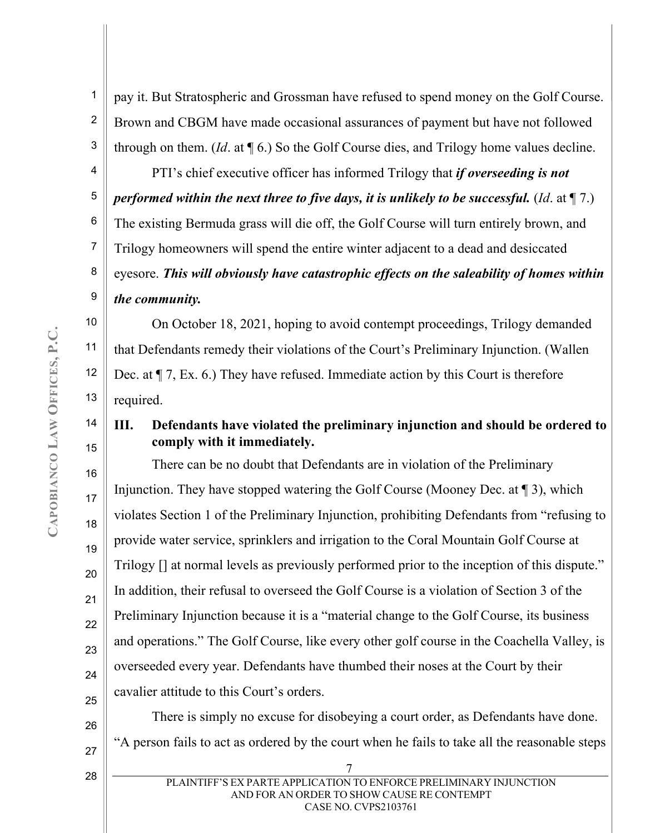14

15

26

27

28

1 2 3 pay it. But Stratospheric and Grossman have refused to spend money on the Golf Course. Brown and CBGM have made occasional assurances of payment but have not followed through on them. (*Id*. at ¶ 6.) So the Golf Course dies, and Trilogy home values decline.

4 5 6 7 8 PTI's chief executive officer has informed Trilogy that *if overseeding is not performed within the next three to five days, it is unlikely to be successful.* (*Id*. at ¶ 7.) The existing Bermuda grass will die off, the Golf Course will turn entirely brown, and Trilogy homeowners will spend the entire winter adjacent to a dead and desiccated eyesore. *This will obviously have catastrophic effects on the saleability of homes within* 

#### 9 *the community.*

10 11 12 13 On October 18, 2021, hoping to avoid contempt proceedings, Trilogy demanded that Defendants remedy their violations of the Court's Preliminary Injunction. (Wallen Dec. at ¶ 7, Ex. 6.) They have refused. Immediate action by this Court is therefore required.

# **III. Defendants have violated the preliminary injunction and should be ordered to comply with it immediately.**

16 17 18 19 20 21 22 23 24 25 There can be no doubt that Defendants are in violation of the Preliminary Injunction. They have stopped watering the Golf Course (Mooney Dec. at ¶ 3), which violates Section 1 of the Preliminary Injunction, prohibiting Defendants from "refusing to provide water service, sprinklers and irrigation to the Coral Mountain Golf Course at Trilogy [] at normal levels as previously performed prior to the inception of this dispute." In addition, their refusal to overseed the Golf Course is a violation of Section 3 of the Preliminary Injunction because it is a "material change to the Golf Course, its business and operations." The Golf Course, like every other golf course in the Coachella Valley, is overseeded every year. Defendants have thumbed their noses at the Court by their cavalier attitude to this Court's orders.

There is simply no excuse for disobeying a court order, as Defendants have done. "A person fails to act as ordered by the court when he fails to take all the reasonable steps

> PLAINTIFF'S EX PARTE APPLICATION TO ENFORCE PRELIMINARY INJUNCTION AND FOR AN ORDER TO SHOW CAUSE RE CONTEMPT CASE NO. CVPS2103761 7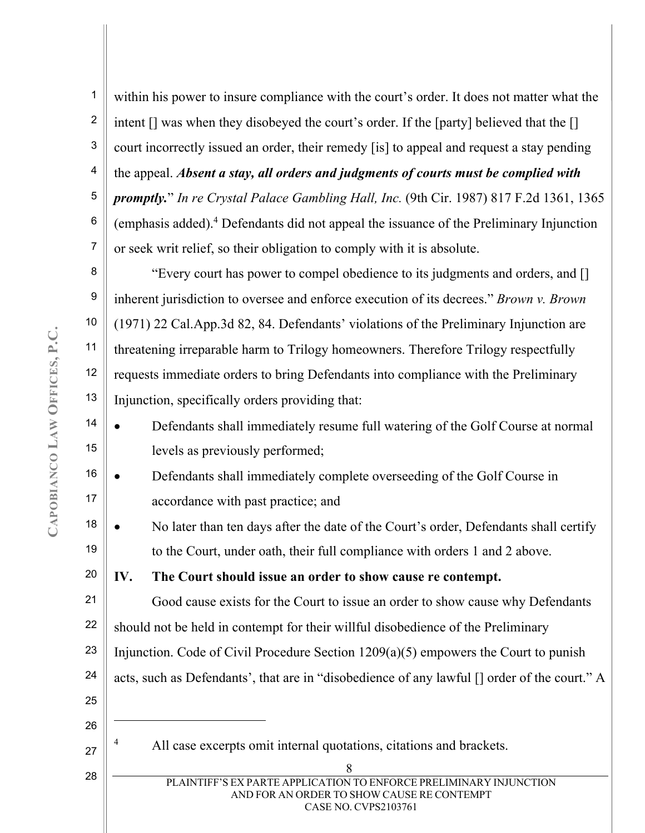14

15

16

17

1 2 3 4 5 6 7 within his power to insure compliance with the court's order. It does not matter what the intent [] was when they disobeyed the court's order. If the [party] believed that the [] court incorrectly issued an order, their remedy [is] to appeal and request a stay pending the appeal. *Absent a stay, all orders and judgments of courts must be complied with promptly.*" *In re Crystal Palace Gambling Hall, Inc.* (9th Cir. 1987) 817 F.2d 1361, 1365 (emphasis added). <sup>4</sup> Defendants did not appeal the issuance of the Preliminary Injunction or seek writ relief, so their obligation to comply with it is absolute.

8 9 10 11 12 13 "Every court has power to compel obedience to its judgments and orders, and [] inherent jurisdiction to oversee and enforce execution of its decrees." *Brown v. Brown* (1971) 22 Cal.App.3d 82, 84. Defendants' violations of the Preliminary Injunction are threatening irreparable harm to Trilogy homeowners. Therefore Trilogy respectfully requests immediate orders to bring Defendants into compliance with the Preliminary Injunction, specifically orders providing that:

- Defendants shall immediately resume full watering of the Golf Course at normal levels as previously performed;
- Defendants shall immediately complete overseeding of the Golf Course in accordance with past practice; and
- 18 19 • No later than ten days after the date of the Court's order, Defendants shall certify to the Court, under oath, their full compliance with orders 1 and 2 above.

20 **IV. The Court should issue an order to show cause re contempt.**

21 Good cause exists for the Court to issue an order to show cause why Defendants

- 22 should not be held in contempt for their willful disobedience of the Preliminary
- 23 Injunction. Code of Civil Procedure Section 1209(a)(5) empowers the Court to punish
- 24 acts, such as Defendants', that are in "disobedience of any lawful [] order of the court." A
- 25
- 26 27

- <sup>4</sup> All case excerpts omit internal quotations, citations and brackets.
	-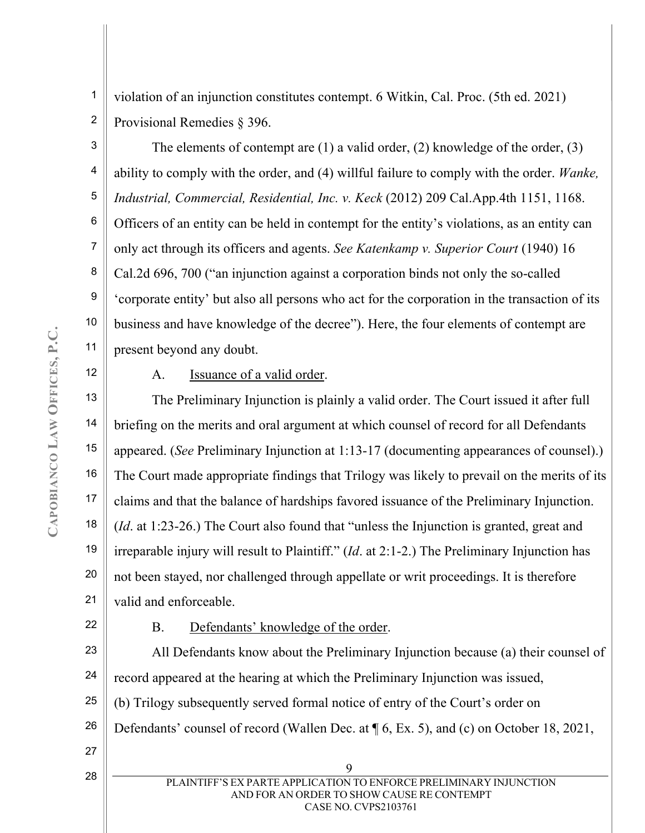1 2 violation of an injunction constitutes contempt. 6 Witkin, Cal. Proc. (5th ed. 2021) Provisional Remedies § 396.

3 4 5 6 7 8 9 10 11 The elements of contempt are (1) a valid order, (2) knowledge of the order, (3) ability to comply with the order, and (4) willful failure to comply with the order. *Wanke, Industrial, Commercial, Residential, Inc. v. Keck* (2012) 209 Cal.App.4th 1151, 1168. Officers of an entity can be held in contempt for the entity's violations, as an entity can only act through its officers and agents. *See Katenkamp v. Superior Court* (1940) 16 Cal.2d 696, 700 ("an injunction against a corporation binds not only the so-called 'corporate entity' but also all persons who act for the corporation in the transaction of its business and have knowledge of the decree"). Here, the four elements of contempt are present beyond any doubt.

A. Issuance of a valid order.

13 14 15 16 17 18 19 20 21 The Preliminary Injunction is plainly a valid order. The Court issued it after full briefing on the merits and oral argument at which counsel of record for all Defendants appeared. (*See* Preliminary Injunction at 1:13-17 (documenting appearances of counsel).) The Court made appropriate findings that Trilogy was likely to prevail on the merits of its claims and that the balance of hardships favored issuance of the Preliminary Injunction. (*Id*. at 1:23-26.) The Court also found that "unless the Injunction is granted, great and irreparable injury will result to Plaintiff." (*Id*. at 2:1-2.) The Preliminary Injunction has not been stayed, nor challenged through appellate or writ proceedings. It is therefore valid and enforceable.

22

B. Defendants' knowledge of the order.

23 24 25 26 All Defendants know about the Preliminary Injunction because (a) their counsel of record appeared at the hearing at which the Preliminary Injunction was issued, (b) Trilogy subsequently served formal notice of entry of the Court's order on Defendants' counsel of record (Wallen Dec. at  $\P$  6, Ex. 5), and (c) on October 18, 2021,

9

27 28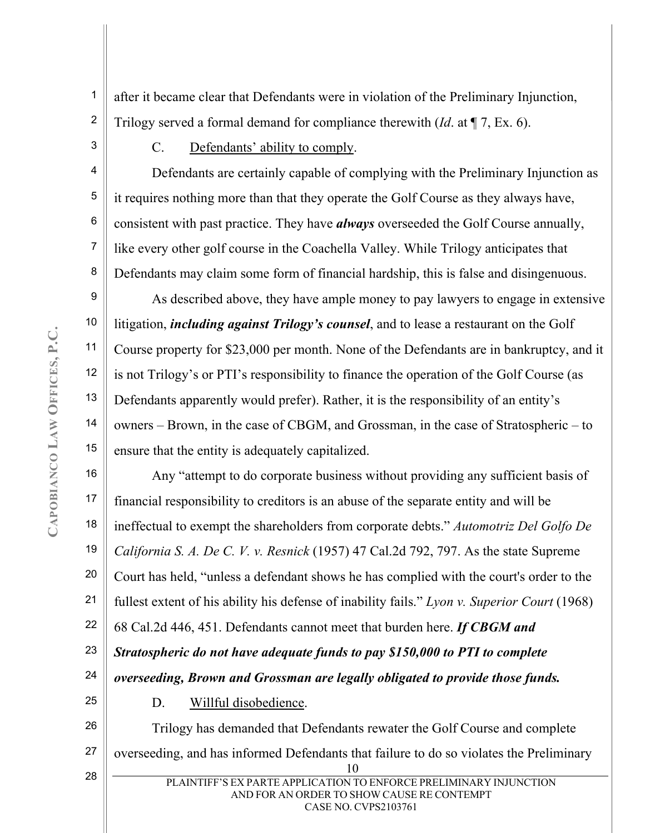1 2 after it became clear that Defendants were in violation of the Preliminary Injunction, Trilogy served a formal demand for compliance therewith (*Id*. at ¶ 7, Ex. 6).

3

## C. Defendants' ability to comply.

4 5 6 7 8 Defendants are certainly capable of complying with the Preliminary Injunction as it requires nothing more than that they operate the Golf Course as they always have, consistent with past practice. They have *always* overseeded the Golf Course annually, like every other golf course in the Coachella Valley. While Trilogy anticipates that Defendants may claim some form of financial hardship, this is false and disingenuous.

9 10 11 12 13 14 15 As described above, they have ample money to pay lawyers to engage in extensive litigation, *including against Trilogy's counsel*, and to lease a restaurant on the Golf Course property for \$23,000 per month. None of the Defendants are in bankruptcy, and it is not Trilogy's or PTI's responsibility to finance the operation of the Golf Course (as Defendants apparently would prefer). Rather, it is the responsibility of an entity's owners – Brown, in the case of CBGM, and Grossman, in the case of Stratospheric – to ensure that the entity is adequately capitalized.

10 16 17 18 19 20 21 22 23 24 25 26 27 Any "attempt to do corporate business without providing any sufficient basis of financial responsibility to creditors is an abuse of the separate entity and will be ineffectual to exempt the shareholders from corporate debts." *Automotriz Del Golfo De California S. A. De C. V. v. Resnick* (1957) 47 Cal.2d 792, 797. As the state Supreme Court has held, "unless a defendant shows he has complied with the court's order to the fullest extent of his ability his defense of inability fails." *Lyon v. Superior Court* (1968) 68 Cal.2d 446, 451. Defendants cannot meet that burden here. *If CBGM and Stratospheric do not have adequate funds to pay \$150,000 to PTI to complete overseeding, Brown and Grossman are legally obligated to provide those funds.* D. Willful disobedience. Trilogy has demanded that Defendants rewater the Golf Course and complete overseeding, and has informed Defendants that failure to do so violates the Preliminary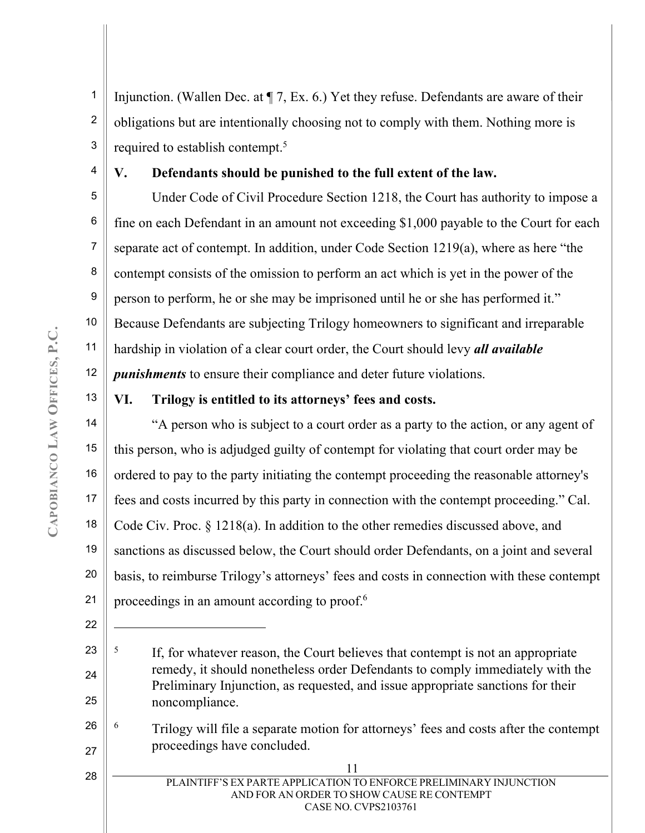1 2 3 Injunction. (Wallen Dec. at ¶ 7, Ex. 6.) Yet they refuse. Defendants are aware of their obligations but are intentionally choosing not to comply with them. Nothing more is required to establish contempt.5

4

## **V. Defendants should be punished to the full extent of the law.**

5 6 7 8 9 10 11 12 Under Code of Civil Procedure Section 1218, the Court has authority to impose a fine on each Defendant in an amount not exceeding \$1,000 payable to the Court for each separate act of contempt. In addition, under Code Section 1219(a), where as here "the contempt consists of the omission to perform an act which is yet in the power of the person to perform, he or she may be imprisoned until he or she has performed it." Because Defendants are subjecting Trilogy homeowners to significant and irreparable hardship in violation of a clear court order, the Court should levy *all available punishments* to ensure their compliance and deter future violations.

## **VI. Trilogy is entitled to its attorneys' fees and costs.**

14 15 16 17 18 19 20 21 "A person who is subject to a court order as a party to the action, or any agent of this person, who is adjudged guilty of contempt for violating that court order may be ordered to pay to the party initiating the contempt proceeding the reasonable attorney's fees and costs incurred by this party in connection with the contempt proceeding." Cal. Code Civ. Proc. § 1218(a). In addition to the other remedies discussed above, and sanctions as discussed below, the Court should order Defendants, on a joint and several basis, to reimburse Trilogy's attorneys' fees and costs in connection with these contempt proceedings in an amount according to proof.6

13

22

<sup>23</sup> 24 25  $<sup>5</sup>$  If, for whatever reason, the Court believes that contempt is not an appropriate</sup> remedy, it should nonetheless order Defendants to comply immediately with the Preliminary Injunction, as requested, and issue appropriate sanctions for their noncompliance.

<sup>26</sup> 27 <sup>6</sup> Trilogy will file a separate motion for attorneys' fees and costs after the contempt proceedings have concluded.